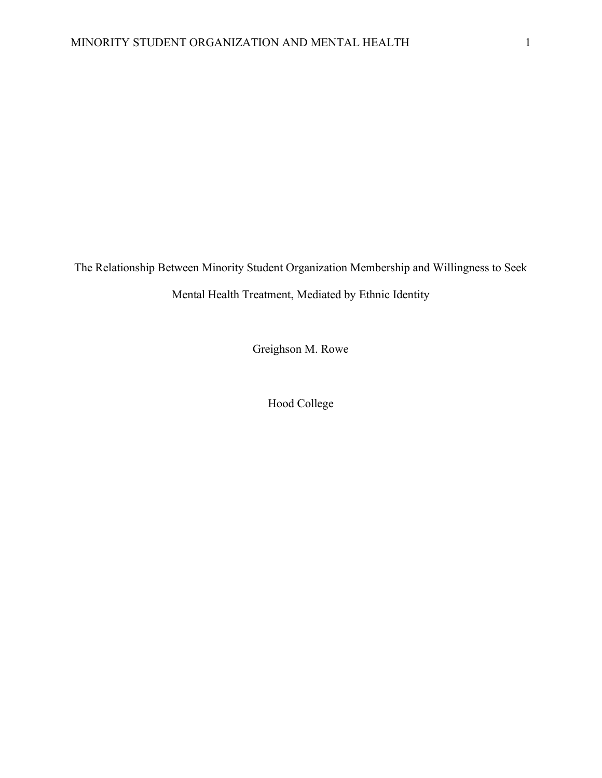The Relationship Between Minority Student Organization Membership and Willingness to Seek

Mental Health Treatment, Mediated by Ethnic Identity

Greighson M. Rowe

Hood College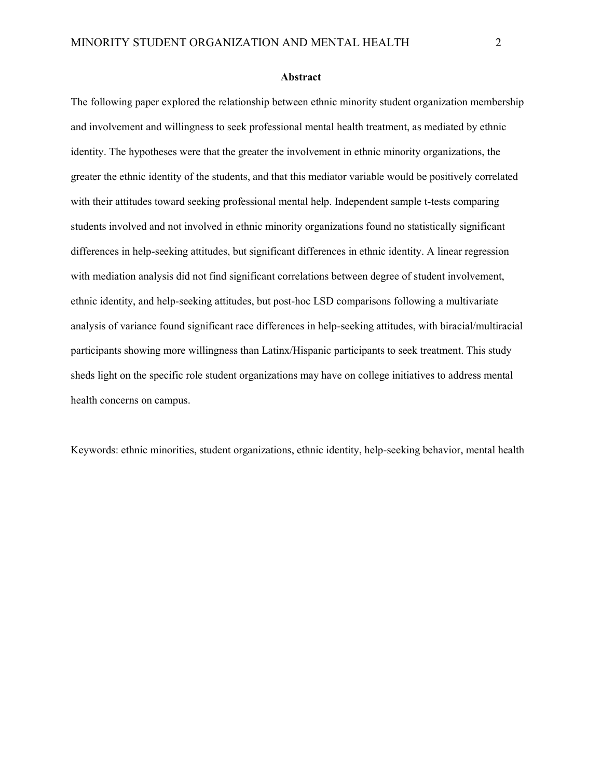#### **Abstract**

The following paper explored the relationship between ethnic minority student organization membership and involvement and willingness to seek professional mental health treatment, as mediated by ethnic identity. The hypotheses were that the greater the involvement in ethnic minority organizations, the greater the ethnic identity of the students, and that this mediator variable would be positively correlated with their attitudes toward seeking professional mental help. Independent sample t-tests comparing students involved and not involved in ethnic minority organizations found no statistically significant differences in help-seeking attitudes, but significant differences in ethnic identity. A linear regression with mediation analysis did not find significant correlations between degree of student involvement, ethnic identity, and help-seeking attitudes, but post-hoc LSD comparisons following a multivariate analysis of variance found significant race differences in help-seeking attitudes, with biracial/multiracial participants showing more willingness than Latinx/Hispanic participants to seek treatment. This study sheds light on the specific role student organizations may have on college initiatives to address mental health concerns on campus.

Keywords: ethnic minorities, student organizations, ethnic identity, help-seeking behavior, mental health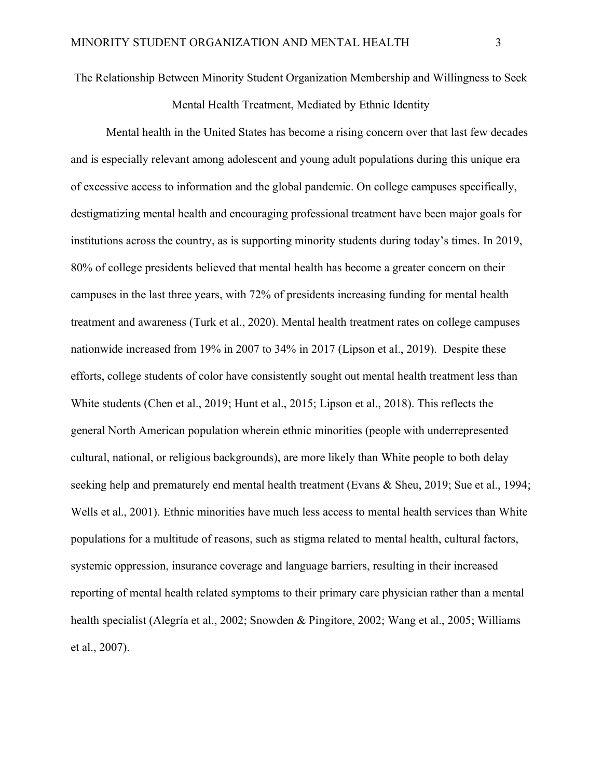The Relationship Between Minority Student Organization Membership and Willingness to Seek

Mental Health Treatment, Mediated by Ethnic Identity

Mental health in the United States has become a rising concern over that last few decades and is especially relevant among adolescent and young adult populations during this unique era of excessive access to information and the global pandemic. On college campuses specifically, destigmatizing mental health and encouraging professional treatment have been major goals for institutions across the country, as is supporting minority students during today's times. In 2019, 80% of college presidents believed that mental health has become a greater concern on their campuses in the last three years, with 72% of presidents increasing funding for mental health treatment and awareness (Turk et al., 2020). Mental health treatment rates on college campuses nationwide increased from 19% in 2007 to 34% in 2017 (Lipson et al., 2019). Despite these efforts, college students of color have consistently sought out mental health treatment less than White students (Chen et al., 2019; Hunt et al., 2015; Lipson et al., 2018). This reflects the general North American population wherein ethnic minorities (people with underrepresented cultural, national, or religious backgrounds), are more likely than White people to both delay seeking help and prematurely end mental health treatment (Evans & Sheu, 2019; Sue et al., 1994; Wells et al., 2001). Ethnic minorities have much less access to mental health services than White populations for a multitude of reasons, such as stigma related to mental health, cultural factors, systemic oppression, insurance coverage and language barriers, resulting in their increased reporting of mental health related symptoms to their primary care physician rather than a mental health specialist (Alegría et al., 2002; Snowden & Pingitore, 2002; Wang et al., 2005; Williams et al., 2007).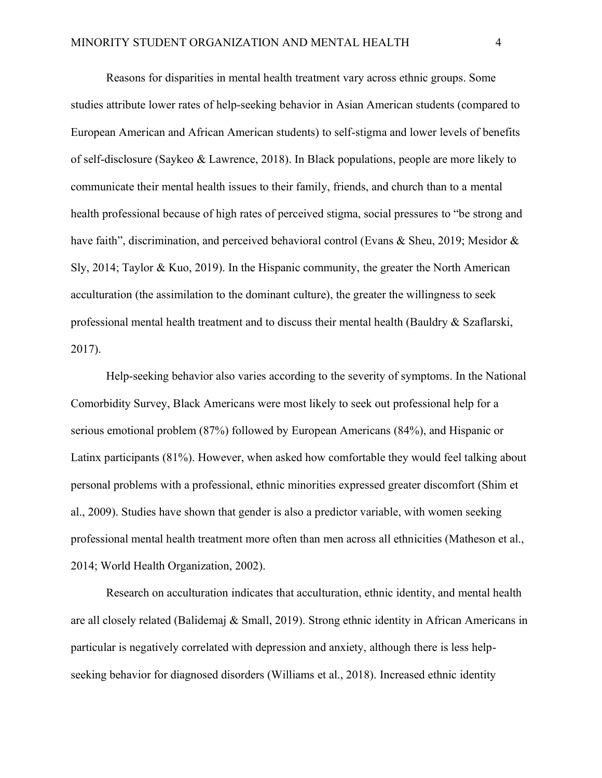Reasons for disparities in mental health treatment vary across ethnic groups. Some studies attribute lower rates of help-seeking behavior in Asian American students (compared to European American and African American students) to self-stigma and lower levels of benefits of self-disclosure (Saykeo & Lawrence, 2018). In Black populations, people are more likely to communicate their mental health issues to their family, friends, and church than to a mental health professional because of high rates of perceived stigma, social pressures to "be strong and have faith", discrimination, and perceived behavioral control (Evans & Sheu, 2019; Mesidor & Sly, 2014; Taylor & Kuo, 2019). In the Hispanic community, the greater the North American acculturation (the assimilation to the dominant culture), the greater the willingness to seek professional mental health treatment and to discuss their mental health (Bauldry & Szaflarski, 2017).

Help-seeking behavior also varies according to the severity of symptoms. In the National Comorbidity Survey, Black Americans were most likely to seek out professional help for a serious emotional problem (87%) followed by European Americans (84%), and Hispanic or Latinx participants (81%). However, when asked how comfortable they would feel talking about personal problems with a professional, ethnic minorities expressed greater discomfort (Shim et al., 2009). Studies have shown that gender is also a predictor variable, with women seeking professional mental health treatment more often than men across all ethnicities (Matheson et al., 2014; World Health Organization, 2002).

Research on acculturation indicates that acculturation, ethnic identity, and mental health are all closely related (Balidemaj & Small, 2019). Strong ethnic identity in African Americans in particular is negatively correlated with depression and anxiety, although there is less helpseeking behavior for diagnosed disorders (Williams et al., 2018). Increased ethnic identity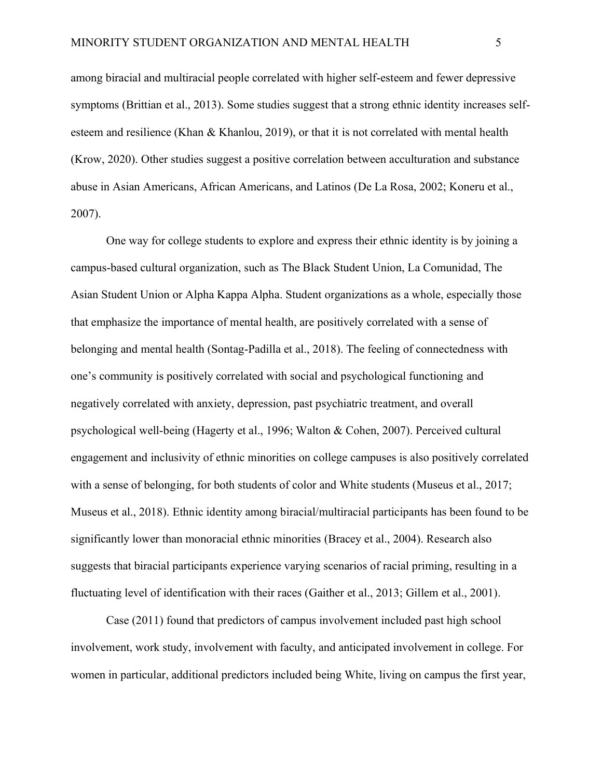among biracial and multiracial people correlated with higher self-esteem and fewer depressive symptoms (Brittian et al., 2013). Some studies suggest that a strong ethnic identity increases selfesteem and resilience (Khan & Khanlou, 2019), or that it is not correlated with mental health (Krow, 2020). Other studies suggest a positive correlation between acculturation and substance abuse in Asian Americans, African Americans, and Latinos (De La Rosa, 2002; Koneru et al., 2007).

One way for college students to explore and express their ethnic identity is by joining a campus-based cultural organization, such as The Black Student Union, La Comunidad, The Asian Student Union or Alpha Kappa Alpha. Student organizations as a whole, especially those that emphasize the importance of mental health, are positively correlated with a sense of belonging and mental health (Sontag-Padilla et al., 2018). The feeling of connectedness with one's community is positively correlated with social and psychological functioning and negatively correlated with anxiety, depression, past psychiatric treatment, and overall psychological well-being (Hagerty et al., 1996; Walton & Cohen, 2007). Perceived cultural engagement and inclusivity of ethnic minorities on college campuses is also positively correlated with a sense of belonging, for both students of color and White students (Museus et al., 2017; Museus et al., 2018). Ethnic identity among biracial/multiracial participants has been found to be significantly lower than monoracial ethnic minorities (Bracey et al., 2004). Research also suggests that biracial participants experience varying scenarios of racial priming, resulting in a fluctuating level of identification with their races (Gaither et al., 2013; Gillem et al., 2001).

Case (2011) found that predictors of campus involvement included past high school involvement, work study, involvement with faculty, and anticipated involvement in college. For women in particular, additional predictors included being White, living on campus the first year,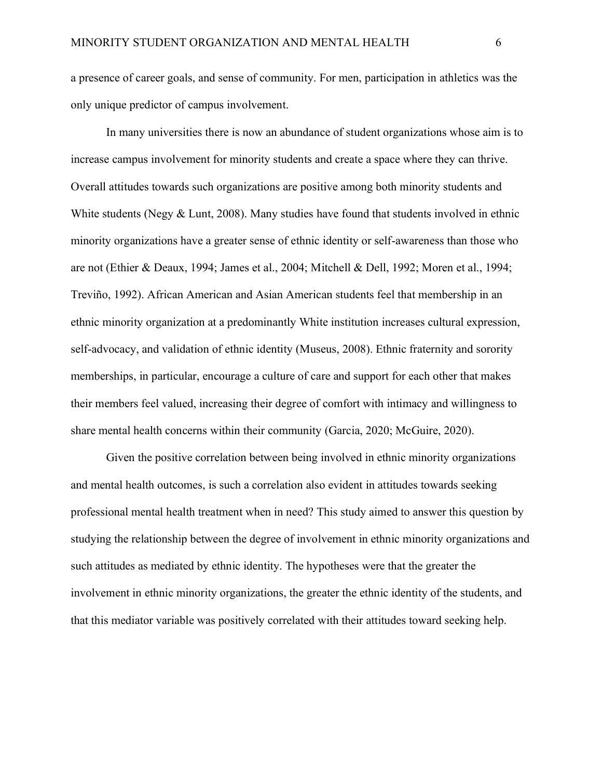a presence of career goals, and sense of community. For men, participation in athletics was the only unique predictor of campus involvement.

In many universities there is now an abundance of student organizations whose aim is to increase campus involvement for minority students and create a space where they can thrive. Overall attitudes towards such organizations are positive among both minority students and White students (Negy & Lunt, 2008). Many studies have found that students involved in ethnic minority organizations have a greater sense of ethnic identity or self-awareness than those who are not (Ethier & Deaux, 1994; James et al., 2004; Mitchell & Dell, 1992; Moren et al., 1994; Treviño, 1992). African American and Asian American students feel that membership in an ethnic minority organization at a predominantly White institution increases cultural expression, self-advocacy, and validation of ethnic identity (Museus, 2008). Ethnic fraternity and sorority memberships, in particular, encourage a culture of care and support for each other that makes their members feel valued, increasing their degree of comfort with intimacy and willingness to share mental health concerns within their community (Garcia, 2020; McGuire, 2020).

Given the positive correlation between being involved in ethnic minority organizations and mental health outcomes, is such a correlation also evident in attitudes towards seeking professional mental health treatment when in need? This study aimed to answer this question by studying the relationship between the degree of involvement in ethnic minority organizations and such attitudes as mediated by ethnic identity. The hypotheses were that the greater the involvement in ethnic minority organizations, the greater the ethnic identity of the students, and that this mediator variable was positively correlated with their attitudes toward seeking help.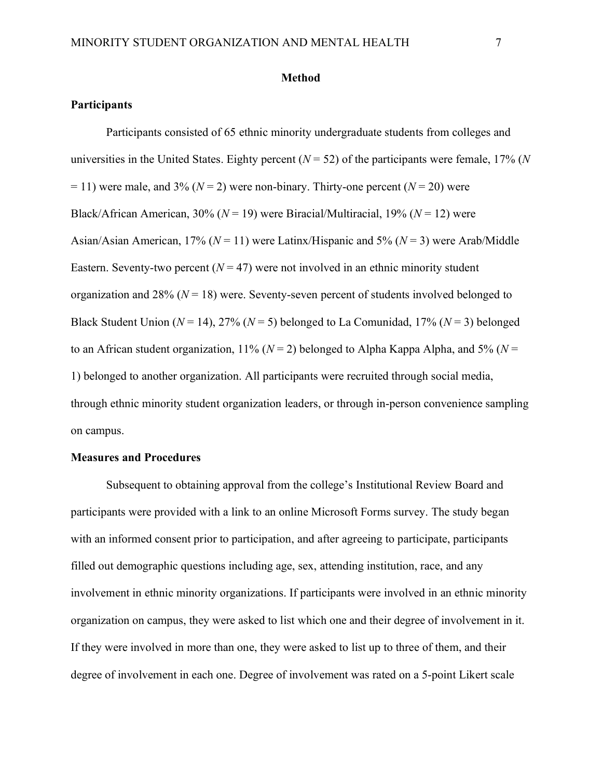#### **Method**

## **Participants**

Participants consisted of 65 ethnic minority undergraduate students from colleges and universities in the United States. Eighty percent  $(N = 52)$  of the participants were female, 17% (*N*  $= 11$ ) were male, and 3% ( $N = 2$ ) were non-binary. Thirty-one percent ( $N = 20$ ) were Black/African American, 30% (*N* = 19) were Biracial/Multiracial, 19% (*N* = 12) were Asian/Asian American, 17% (*N* = 11) were Latinx/Hispanic and 5% (*N* = 3) were Arab/Middle Eastern. Seventy-two percent  $(N = 47)$  were not involved in an ethnic minority student organization and 28% ( $N = 18$ ) were. Seventy-seven percent of students involved belonged to Black Student Union  $(N = 14)$ , 27%  $(N = 5)$  belonged to La Comunidad, 17%  $(N = 3)$  belonged to an African student organization,  $11\%$  ( $N = 2$ ) belonged to Alpha Kappa Alpha, and 5% ( $N =$ 1) belonged to another organization. All participants were recruited through social media, through ethnic minority student organization leaders, or through in-person convenience sampling on campus.

#### **Measures and Procedures**

Subsequent to obtaining approval from the college's Institutional Review Board and participants were provided with a link to an online Microsoft Forms survey. The study began with an informed consent prior to participation, and after agreeing to participate, participants filled out demographic questions including age, sex, attending institution, race, and any involvement in ethnic minority organizations. If participants were involved in an ethnic minority organization on campus, they were asked to list which one and their degree of involvement in it. If they were involved in more than one, they were asked to list up to three of them, and their degree of involvement in each one. Degree of involvement was rated on a 5-point Likert scale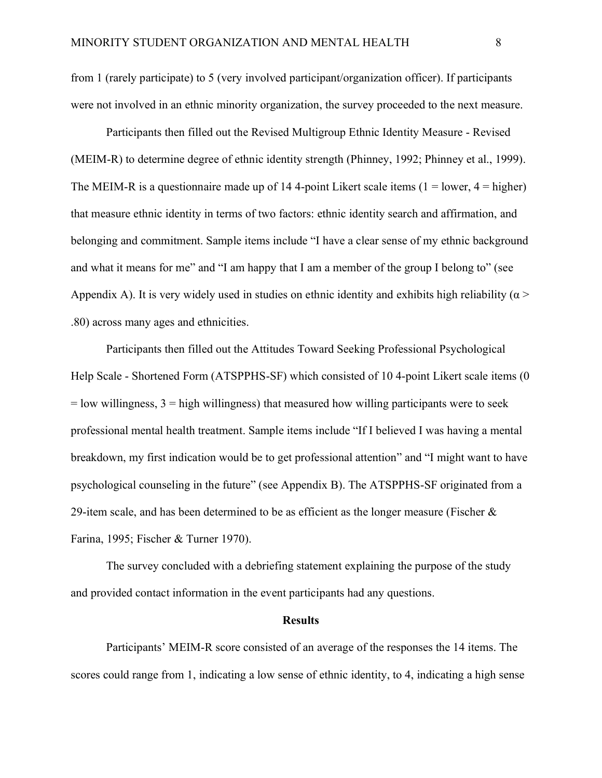from 1 (rarely participate) to 5 (very involved participant/organization officer). If participants were not involved in an ethnic minority organization, the survey proceeded to the next measure.

Participants then filled out the Revised Multigroup Ethnic Identity Measure - Revised (MEIM-R) to determine degree of ethnic identity strength (Phinney, 1992; Phinney et al., 1999). The MEIM-R is a questionnaire made up of 14 4-point Likert scale items  $(1 = lower, 4 = higher)$ that measure ethnic identity in terms of two factors: ethnic identity search and affirmation, and belonging and commitment. Sample items include "I have a clear sense of my ethnic background and what it means for me" and "I am happy that I am a member of the group I belong to" (see Appendix A). It is very widely used in studies on ethnic identity and exhibits high reliability ( $\alpha$  > .80) across many ages and ethnicities.

Participants then filled out the Attitudes Toward Seeking Professional Psychological Help Scale - Shortened Form (ATSPPHS-SF) which consisted of 10 4-point Likert scale items (0  $=$  low willingness,  $3$  = high willingness) that measured how willing participants were to seek professional mental health treatment. Sample items include "If I believed I was having a mental breakdown, my first indication would be to get professional attention" and "I might want to have psychological counseling in the future" (see Appendix B). The ATSPPHS-SF originated from a 29-item scale, and has been determined to be as efficient as the longer measure (Fischer  $\&$ Farina, 1995; Fischer & Turner 1970).

The survey concluded with a debriefing statement explaining the purpose of the study and provided contact information in the event participants had any questions.

#### **Results**

Participants' MEIM-R score consisted of an average of the responses the 14 items. The scores could range from 1, indicating a low sense of ethnic identity, to 4, indicating a high sense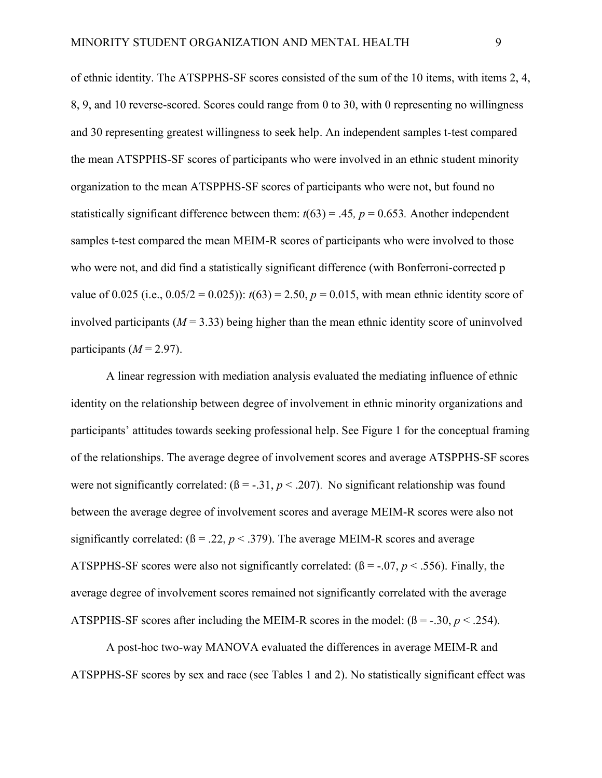of ethnic identity. The ATSPPHS-SF scores consisted of the sum of the 10 items, with items 2, 4, 8, 9, and 10 reverse-scored. Scores could range from 0 to 30, with 0 representing no willingness and 30 representing greatest willingness to seek help. An independent samples t-test compared the mean ATSPPHS-SF scores of participants who were involved in an ethnic student minority organization to the mean ATSPPHS-SF scores of participants who were not, but found no statistically significant difference between them:  $t(63) = .45$ ,  $p = 0.653$ . Another independent samples t-test compared the mean MEIM-R scores of participants who were involved to those who were not, and did find a statistically significant difference (with Bonferroni-corrected p value of 0.025 (i.e.,  $0.05/2 = 0.025$ )):  $t(63) = 2.50$ ,  $p = 0.015$ , with mean ethnic identity score of involved participants ( $M = 3.33$ ) being higher than the mean ethnic identity score of uninvolved participants  $(M = 2.97)$ .

A linear regression with mediation analysis evaluated the mediating influence of ethnic identity on the relationship between degree of involvement in ethnic minority organizations and participants' attitudes towards seeking professional help. See Figure 1 for the conceptual framing of the relationships. The average degree of involvement scores and average ATSPPHS-SF scores were not significantly correlated:  $(\beta = -0.31, p < 0.207)$ . No significant relationship was found between the average degree of involvement scores and average MEIM-R scores were also not significantly correlated:  $(β = 0.22, p < 0.379)$ . The average MEIM-R scores and average ATSPPHS-SF scores were also not significantly correlated:  $(\beta = -0.07, p < .556)$ . Finally, the average degree of involvement scores remained not significantly correlated with the average ATSPPHS-SF scores after including the MEIM-R scores in the model:  $(\beta = -0.30, p < 0.254)$ .

A post-hoc two-way MANOVA evaluated the differences in average MEIM-R and ATSPPHS-SF scores by sex and race (see Tables 1 and 2). No statistically significant effect was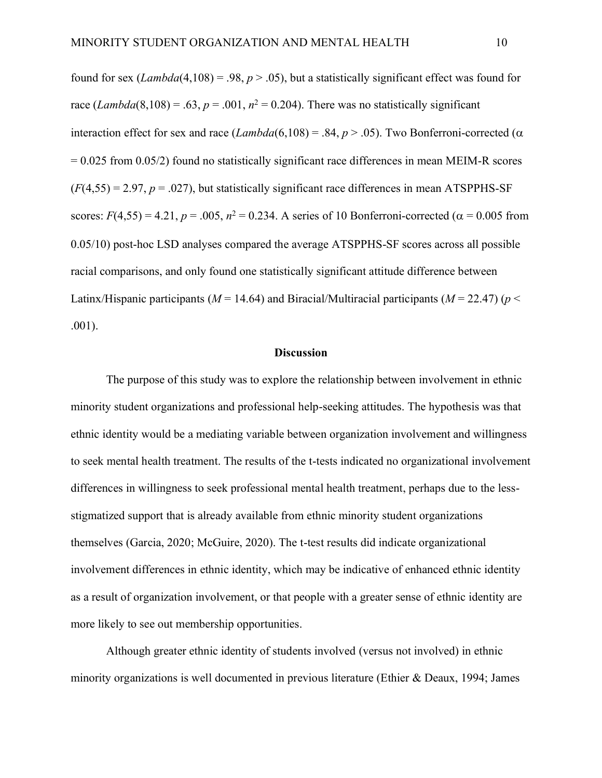found for sex (*Lambda*(4,108) = .98,  $p > .05$ ), but a statistically significant effect was found for race  $(Lambda(8,108) = .63, p = .001, n^2 = 0.204)$ . There was no statistically significant interaction effect for sex and race  $(Lambda(6,108) = .84, p > .05)$ . Two Bonferroni-corrected ( $\alpha$  $= 0.025$  from 0.05/2) found no statistically significant race differences in mean MEIM-R scores  $(F(4,55) = 2.97, p = .027)$ , but statistically significant race differences in mean ATSPPHS-SF scores:  $F(4,55) = 4.21$ ,  $p = .005$ ,  $n^2 = 0.234$ . A series of 10 Bonferroni-corrected ( $\alpha = 0.005$  from 0.05/10) post-hoc LSD analyses compared the average ATSPPHS-SF scores across all possible racial comparisons, and only found one statistically significant attitude difference between Latinx/Hispanic participants ( $M = 14.64$ ) and Biracial/Multiracial participants ( $M = 22.47$ ) ( $p <$ .001).

## **Discussion**

The purpose of this study was to explore the relationship between involvement in ethnic minority student organizations and professional help-seeking attitudes. The hypothesis was that ethnic identity would be a mediating variable between organization involvement and willingness to seek mental health treatment. The results of the t-tests indicated no organizational involvement differences in willingness to seek professional mental health treatment, perhaps due to the lessstigmatized support that is already available from ethnic minority student organizations themselves (Garcia, 2020; McGuire, 2020). The t-test results did indicate organizational involvement differences in ethnic identity, which may be indicative of enhanced ethnic identity as a result of organization involvement, or that people with a greater sense of ethnic identity are more likely to see out membership opportunities.

Although greater ethnic identity of students involved (versus not involved) in ethnic minority organizations is well documented in previous literature (Ethier & Deaux, 1994; James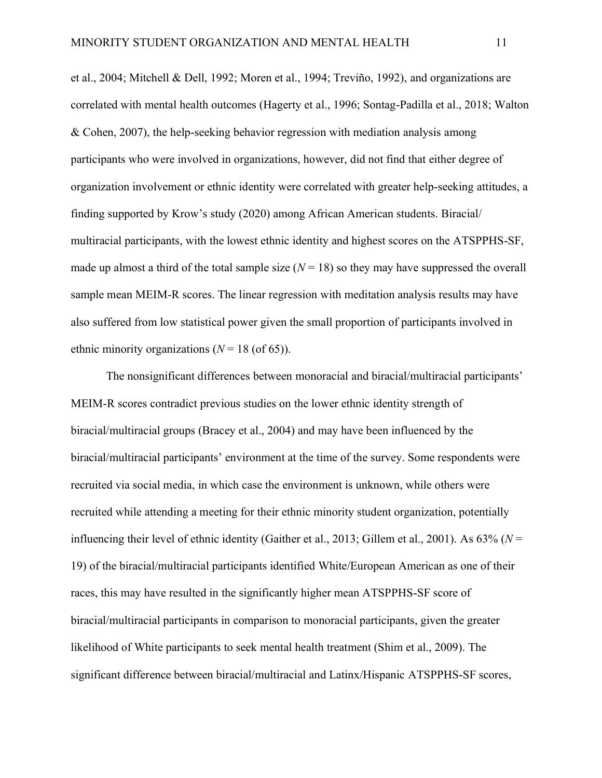et al., 2004; Mitchell & Dell, 1992; Moren et al., 1994; Treviño, 1992), and organizations are correlated with mental health outcomes (Hagerty et al., 1996; Sontag-Padilla et al., 2018; Walton & Cohen, 2007), the help-seeking behavior regression with mediation analysis among participants who were involved in organizations, however, did not find that either degree of organization involvement or ethnic identity were correlated with greater help-seeking attitudes, a finding supported by Krow's study (2020) among African American students. Biracial/ multiracial participants, with the lowest ethnic identity and highest scores on the ATSPPHS-SF, made up almost a third of the total sample size  $(N = 18)$  so they may have suppressed the overall sample mean MEIM-R scores. The linear regression with meditation analysis results may have also suffered from low statistical power given the small proportion of participants involved in ethnic minority organizations  $(N = 18 \text{ (of 65)}).$ 

The nonsignificant differences between monoracial and biracial/multiracial participants' MEIM-R scores contradict previous studies on the lower ethnic identity strength of biracial/multiracial groups (Bracey et al., 2004) and may have been influenced by the biracial/multiracial participants' environment at the time of the survey. Some respondents were recruited via social media, in which case the environment is unknown, while others were recruited while attending a meeting for their ethnic minority student organization, potentially influencing their level of ethnic identity (Gaither et al., 2013; Gillem et al., 2001). As 63% (*N* = 19) of the biracial/multiracial participants identified White/European American as one of their races, this may have resulted in the significantly higher mean ATSPPHS-SF score of biracial/multiracial participants in comparison to monoracial participants, given the greater likelihood of White participants to seek mental health treatment (Shim et al., 2009). The significant difference between biracial/multiracial and Latinx/Hispanic ATSPPHS-SF scores,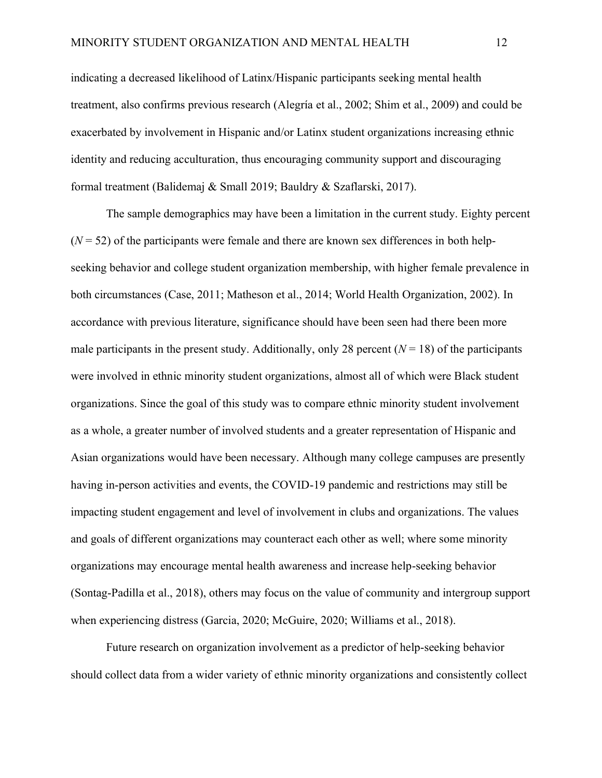indicating a decreased likelihood of Latinx/Hispanic participants seeking mental health treatment, also confirms previous research (Alegría et al., 2002; Shim et al., 2009) and could be exacerbated by involvement in Hispanic and/or Latinx student organizations increasing ethnic identity and reducing acculturation, thus encouraging community support and discouraging formal treatment (Balidemaj & Small 2019; Bauldry & Szaflarski, 2017).

The sample demographics may have been a limitation in the current study. Eighty percent  $(N = 52)$  of the participants were female and there are known sex differences in both helpseeking behavior and college student organization membership, with higher female prevalence in both circumstances (Case, 2011; Matheson et al., 2014; World Health Organization, 2002). In accordance with previous literature, significance should have been seen had there been more male participants in the present study. Additionally, only 28 percent  $(N = 18)$  of the participants were involved in ethnic minority student organizations, almost all of which were Black student organizations. Since the goal of this study was to compare ethnic minority student involvement as a whole, a greater number of involved students and a greater representation of Hispanic and Asian organizations would have been necessary. Although many college campuses are presently having in-person activities and events, the COVID-19 pandemic and restrictions may still be impacting student engagement and level of involvement in clubs and organizations. The values and goals of different organizations may counteract each other as well; where some minority organizations may encourage mental health awareness and increase help-seeking behavior (Sontag-Padilla et al., 2018), others may focus on the value of community and intergroup support when experiencing distress (Garcia, 2020; McGuire, 2020; Williams et al., 2018).

Future research on organization involvement as a predictor of help-seeking behavior should collect data from a wider variety of ethnic minority organizations and consistently collect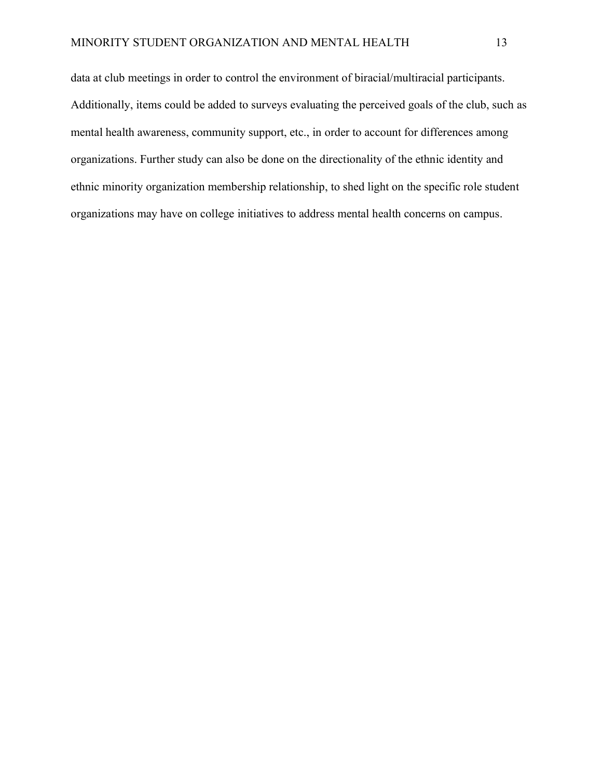data at club meetings in order to control the environment of biracial/multiracial participants. Additionally, items could be added to surveys evaluating the perceived goals of the club, such as mental health awareness, community support, etc., in order to account for differences among organizations. Further study can also be done on the directionality of the ethnic identity and ethnic minority organization membership relationship, to shed light on the specific role student organizations may have on college initiatives to address mental health concerns on campus.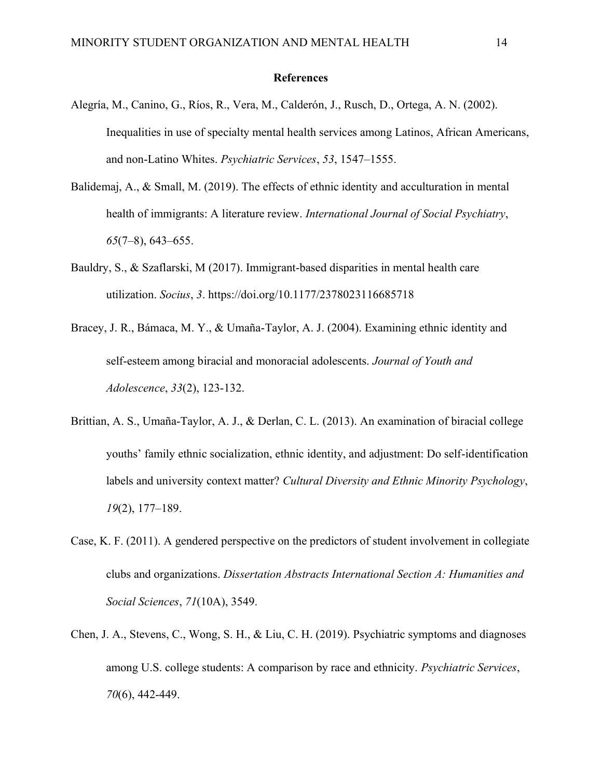#### **References**

- Alegría, M., Canino, G., Ríos, R., Vera, M., Calderón, J., Rusch, D., Ortega, A. N. (2002). Inequalities in use of specialty mental health services among Latinos, African Americans, and non-Latino Whites. *Psychiatric Services*, *53*, 1547–1555.
- Balidemaj, A., & Small, M. (2019). The effects of ethnic identity and acculturation in mental health of immigrants: A literature review. *International Journal of Social Psychiatry*, *65*(7–8), 643–655.
- Bauldry, S., & Szaflarski, M (2017). Immigrant-based disparities in mental health care utilization. *Socius*, *3*. https://doi.org/10.1177/2378023116685718
- Bracey, J. R., Bámaca, M. Y., & Umaña-Taylor, A. J. (2004). Examining ethnic identity and self-esteem among biracial and monoracial adolescents. *Journal of Youth and Adolescence*, *33*(2), 123-132.
- Brittian, A. S., Umaña-Taylor, A. J., & Derlan, C. L. (2013). An examination of biracial college youths' family ethnic socialization, ethnic identity, and adjustment: Do self-identification labels and university context matter? *Cultural Diversity and Ethnic Minority Psychology*, *19*(2), 177–189.
- Case, K. F. (2011). A gendered perspective on the predictors of student involvement in collegiate clubs and organizations. *Dissertation Abstracts International Section A: Humanities and Social Sciences*, *71*(10A), 3549.
- Chen, J. A., Stevens, C., Wong, S. H., & Liu, C. H. (2019). Psychiatric symptoms and diagnoses among U.S. college students: A comparison by race and ethnicity. *Psychiatric Services*, *70*(6), 442-449.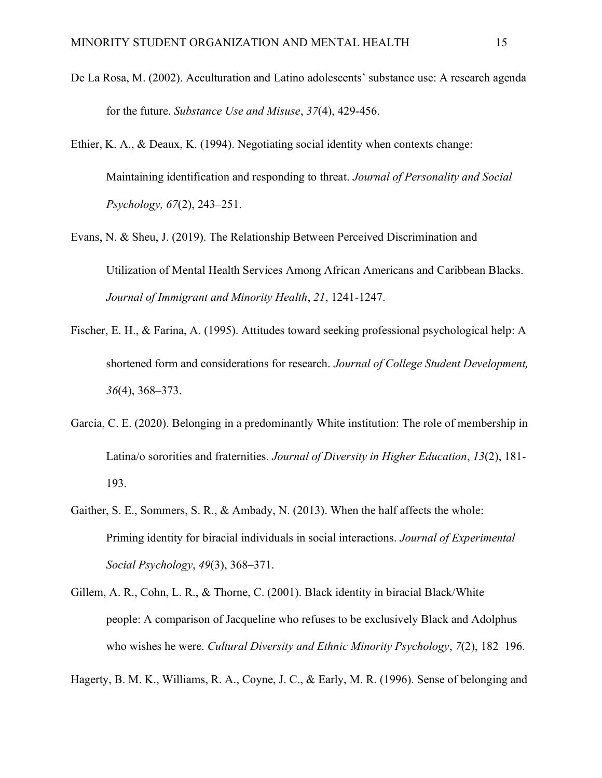- De La Rosa, M. (2002). Acculturation and Latino adolescents' substance use: A research agenda for the future. *Substance Use and Misuse*, *37*(4), 429-456.
- Ethier, K. A., & Deaux, K. (1994). Negotiating social identity when contexts change: Maintaining identification and responding to threat. *Journal of Personality and Social Psychology, 67*(2), 243–251.
- Evans, N. & Sheu, J. (2019). The Relationship Between Perceived Discrimination and Utilization of Mental Health Services Among African Americans and Caribbean Blacks. *Journal of Immigrant and Minority Health*, *21*, 1241-1247.
- Fischer, E. H., & Farina, A. (1995). Attitudes toward seeking professional psychological help: A shortened form and considerations for research. *Journal of College Student Development, 36*(4), 368–373.
- Garcia, C. E. (2020). Belonging in a predominantly White institution: The role of membership in Latina/o sororities and fraternities. *Journal of Diversity in Higher Education*, *13*(2), 181- 193.
- Gaither, S. E., Sommers, S. R., & Ambady, N. (2013). When the half affects the whole: Priming identity for biracial individuals in social interactions. *Journal of Experimental Social Psychology*, *49*(3), 368–371.
- Gillem, A. R., Cohn, L. R., & Thorne, C. (2001). Black identity in biracial Black/White people: A comparison of Jacqueline who refuses to be exclusively Black and Adolphus who wishes he were. *Cultural Diversity and Ethnic Minority Psychology*, *7*(2), 182–196.

Hagerty, B. M. K., Williams, R. A., Coyne, J. C., & Early, M. R. (1996). Sense of belonging and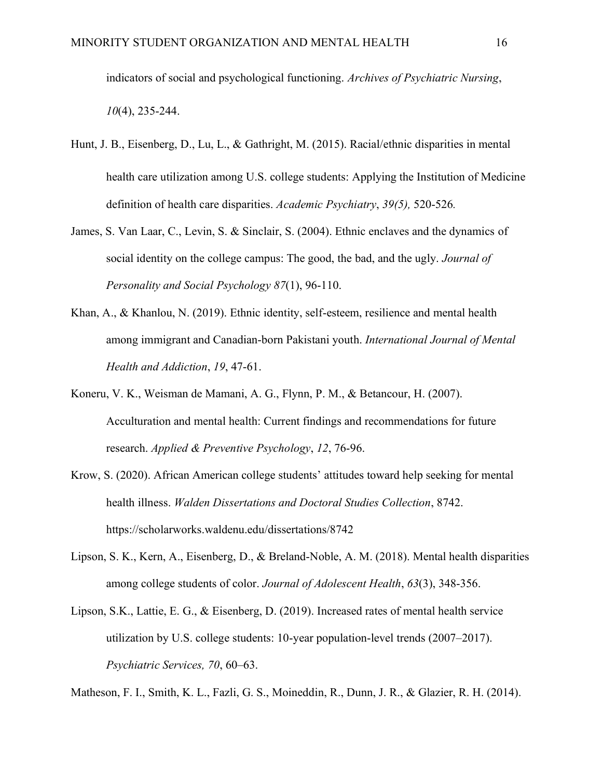indicators of social and psychological functioning. *Archives of Psychiatric Nursing*, *10*(4), 235-244.

- Hunt, J. B., Eisenberg, D., Lu, L., & Gathright, M. (2015). Racial/ethnic disparities in mental health care utilization among U.S. college students: Applying the Institution of Medicine definition of health care disparities. *Academic Psychiatry*, *39(5),* 520-526*.*
- James, S. Van Laar, C., Levin, S. & Sinclair, S. (2004). Ethnic enclaves and the dynamics of social identity on the college campus: The good, the bad, and the ugly. *Journal of Personality and Social Psychology 87*(1), 96-110.
- Khan, A., & Khanlou, N. (2019). Ethnic identity, self-esteem, resilience and mental health among immigrant and Canadian-born Pakistani youth. *International Journal of Mental Health and Addiction*, *19*, 47-61.
- Koneru, V. K., Weisman de Mamani, A. G., Flynn, P. M., & Betancour, H. (2007). Acculturation and mental health: Current findings and recommendations for future research. *Applied & Preventive Psychology*, *12*, 76-96.
- Krow, S. (2020). African American college students' attitudes toward help seeking for mental health illness. *Walden Dissertations and Doctoral Studies Collection*, 8742. https://scholarworks.waldenu.edu/dissertations/8742
- Lipson, S. K., Kern, A., Eisenberg, D., & Breland-Noble, A. M. (2018). Mental health disparities among college students of color. *Journal of Adolescent Health*, *63*(3), 348-356.
- Lipson, S.K., Lattie, E. G., & Eisenberg, D. (2019). Increased rates of mental health service utilization by U.S. college students: 10-year population-level trends (2007–2017). *Psychiatric Services, 70*, 60–63.

Matheson, F. I., Smith, K. L., Fazli, G. S., Moineddin, R., Dunn, J. R., & Glazier, R. H. (2014).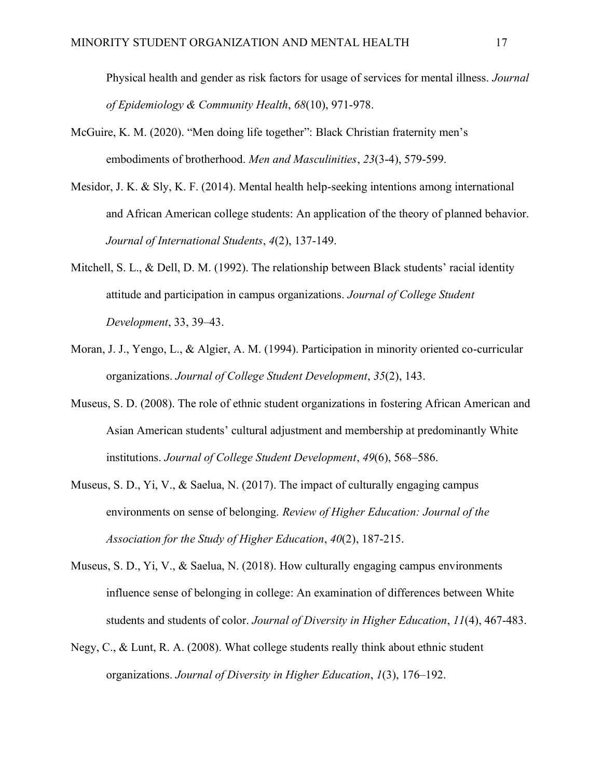Physical health and gender as risk factors for usage of services for mental illness. *Journal of Epidemiology & Community Health*, *68*(10), 971-978.

- McGuire, K. M. (2020). "Men doing life together": Black Christian fraternity men's embodiments of brotherhood. *Men and Masculinities*, *23*(3-4), 579-599.
- Mesidor, J. K. & Sly, K. F. (2014). Mental health help-seeking intentions among international and African American college students: An application of the theory of planned behavior. *Journal of International Students*, *4*(2), 137-149.
- Mitchell, S. L., & Dell, D. M. (1992). The relationship between Black students' racial identity attitude and participation in campus organizations. *Journal of College Student Development*, 33, 39–43.
- Moran, J. J., Yengo, L., & Algier, A. M. (1994). Participation in minority oriented co-curricular organizations. *Journal of College Student Development*, *35*(2), 143.
- Museus, S. D. (2008). The role of ethnic student organizations in fostering African American and Asian American students' cultural adjustment and membership at predominantly White institutions. *Journal of College Student Development*, *49*(6), 568–586.
- Museus, S. D., Yi, V., & Saelua, N. (2017). The impact of culturally engaging campus environments on sense of belonging. *Review of Higher Education: Journal of the Association for the Study of Higher Education*, *40*(2), 187-215.
- Museus, S. D., Yi, V., & Saelua, N. (2018). How culturally engaging campus environments influence sense of belonging in college: An examination of differences between White students and students of color. *Journal of Diversity in Higher Education*, *11*(4), 467-483.
- Negy, C., & Lunt, R. A. (2008). What college students really think about ethnic student organizations. *Journal of Diversity in Higher Education*, *1*(3), 176–192.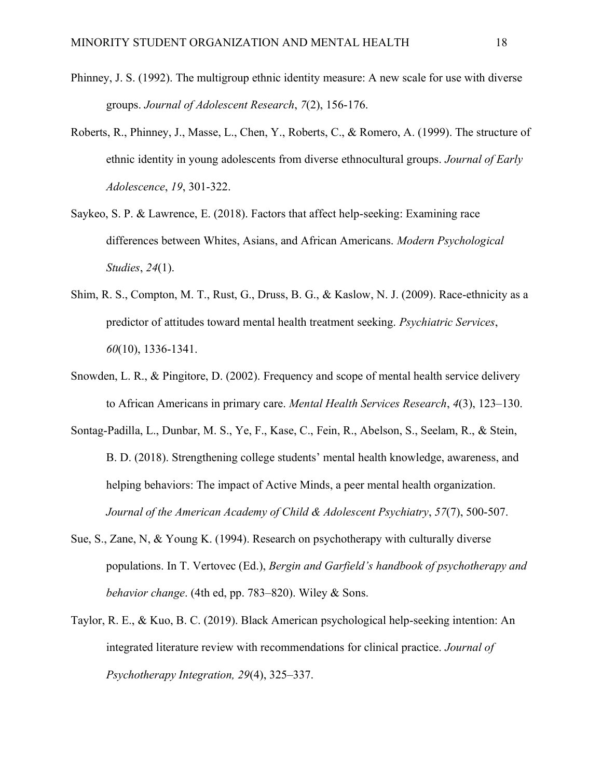- Phinney, J. S. (1992). The multigroup ethnic identity measure: A new scale for use with diverse groups. *Journal of Adolescent Research*, *7*(2), 156-176.
- Roberts, R., Phinney, J., Masse, L., Chen, Y., Roberts, C., & Romero, A. (1999). The structure of ethnic identity in young adolescents from diverse ethnocultural groups. *Journal of Early Adolescence*, *19*, 301-322.
- Saykeo, S. P. & Lawrence, E. (2018). Factors that affect help-seeking: Examining race differences between Whites, Asians, and African Americans. *Modern Psychological Studies*, *24*(1).
- [Shim, R. S., Compton, M. T., Rust, G., Druss, B. G.,](https://ps.psychiatryonline.org/doi/full/10.1176/ps.2009.60.10.1336) & Kaslow, N. J. (2009). Race-ethnicity as a predictor of attitudes toward mental health treatment seeking. *Psychiatric Services*, *60*(10), 1336-1341.
- Snowden, L. R., & Pingitore, D. (2002). Frequency and scope of mental health service delivery to African Americans in primary care. *Mental Health Services Research*, *4*(3), 123–130.
- Sontag-Padilla, L., Dunbar, M. S., Ye, F., Kase, C., Fein, R., Abelson, S., Seelam, R., & Stein, B. D. (2018). Strengthening college students' mental health knowledge, awareness, and helping behaviors: The impact of Active Minds, a peer mental health organization. *Journal of the American Academy of Child & Adolescent Psychiatry*, *57*(7), 500-507.
- Sue, S., Zane, N, & Young K. (1994). Research on psychotherapy with culturally diverse populations. In T. Vertovec (Ed.), *Bergin and Garfield's handbook of psychotherapy and behavior change*. (4th ed, pp. 783–820). Wiley & Sons.
- Taylor, R. E., & Kuo, B. C. (2019). Black American psychological help-seeking intention: An integrated literature review with recommendations for clinical practice. *Journal of Psychotherapy Integration, 29*(4), 325–337.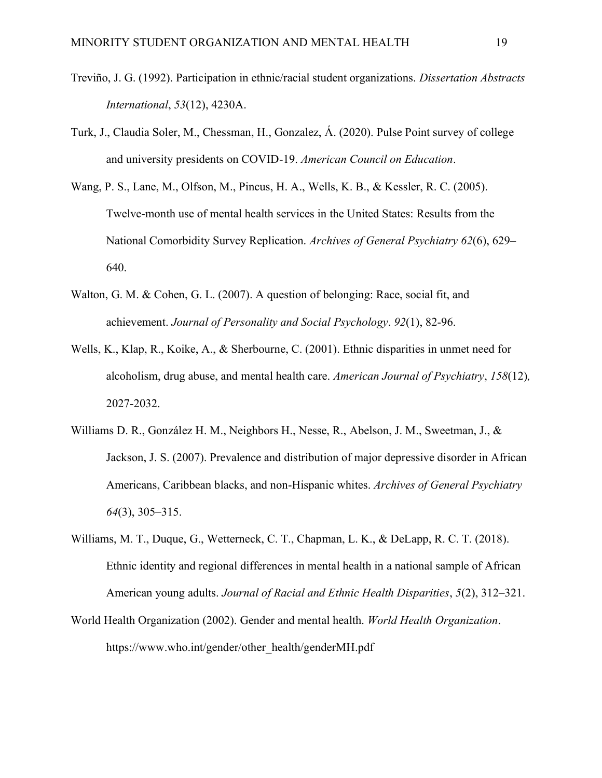- Treviño, J. G. (1992). Participation in ethnic/racial student organizations. *Dissertation Abstracts International*, *53*(12), 4230A.
- Turk, J., Claudia Soler, M., Chessman, H., Gonzalez, Á. (2020). Pulse Point survey of college and university presidents on COVID-19. *American Council on Education*.
- Wang, P. S., Lane, M., Olfson, M., Pincus, H. A., Wells, K. B., & Kessler, R. C. (2005). Twelve-month use of mental health services in the United States: Results from the National Comorbidity Survey Replication. *Archives of General Psychiatry 62*(6), 629– 640.
- Walton, G. M. & Cohen, G. L. (2007). A question of belonging: Race, social fit, and achievement. *Journal of Personality and Social Psychology*. *92*(1), 82-96.
- Wells, K., Klap, R., Koike, A., & Sherbourne, C. (2001). Ethnic disparities in unmet need for alcoholism, drug abuse, and mental health care. *American Journal of Psychiatry*, *158*(12)*,*  2027-2032.
- Williams D. R., González H. M., Neighbors H., Nesse, R., Abelson, J. M., Sweetman, J., & Jackson, J. S. (2007). Prevalence and distribution of major depressive disorder in African Americans, Caribbean blacks, and non-Hispanic whites. *Archives of General Psychiatry 64*(3), 305–315.
- Williams, M. T., Duque, G., Wetterneck, C. T., Chapman, L. K., & DeLapp, R. C. T. (2018). Ethnic identity and regional differences in mental health in a national sample of African American young adults. *Journal of Racial and Ethnic Health Disparities*, *5*(2), 312–321.
- World Health Organization (2002). Gender and mental health. *World Health Organization*. https://www.who.int/gender/other\_health/genderMH.pdf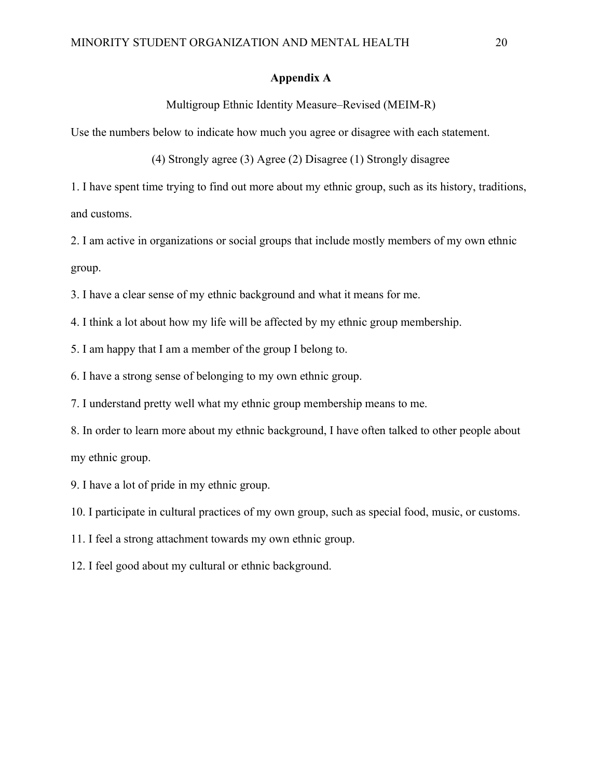## **Appendix A**

## Multigroup Ethnic Identity Measure–Revised (MEIM-R)

Use the numbers below to indicate how much you agree or disagree with each statement.

(4) Strongly agree (3) Agree (2) Disagree (1) Strongly disagree

1. I have spent time trying to find out more about my ethnic group, such as its history, traditions, and customs.

2. I am active in organizations or social groups that include mostly members of my own ethnic group.

3. I have a clear sense of my ethnic background and what it means for me.

4. I think a lot about how my life will be affected by my ethnic group membership.

5. I am happy that I am a member of the group I belong to.

6. I have a strong sense of belonging to my own ethnic group.

7. I understand pretty well what my ethnic group membership means to me.

8. In order to learn more about my ethnic background, I have often talked to other people about my ethnic group.

9. I have a lot of pride in my ethnic group.

10. I participate in cultural practices of my own group, such as special food, music, or customs.

11. I feel a strong attachment towards my own ethnic group.

12. I feel good about my cultural or ethnic background.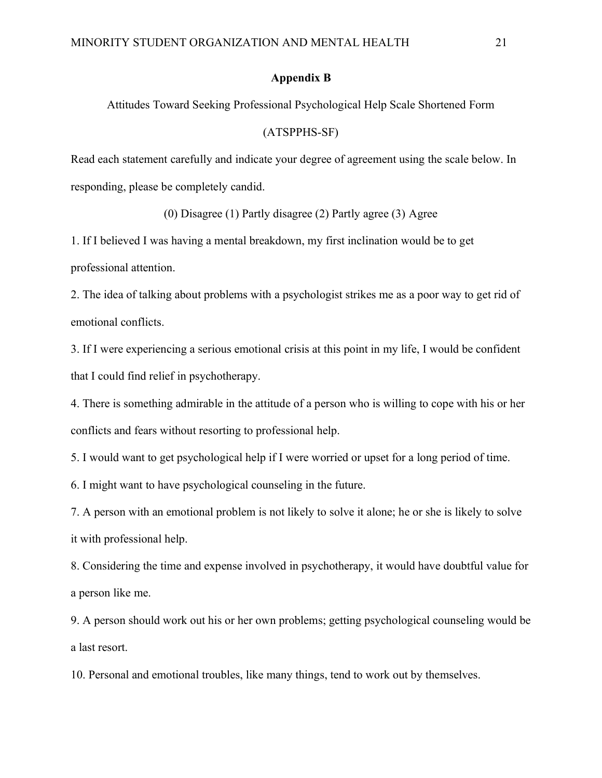#### **Appendix B**

Attitudes Toward Seeking Professional Psychological Help Scale Shortened Form

### (ATSPPHS-SF)

Read each statement carefully and indicate your degree of agreement using the scale below. In responding, please be completely candid.

(0) Disagree (1) Partly disagree (2) Partly agree (3) Agree

1. If I believed I was having a mental breakdown, my first inclination would be to get professional attention.

2. The idea of talking about problems with a psychologist strikes me as a poor way to get rid of emotional conflicts.

3. If I were experiencing a serious emotional crisis at this point in my life, I would be confident that I could find relief in psychotherapy.

4. There is something admirable in the attitude of a person who is willing to cope with his or her conflicts and fears without resorting to professional help.

5. I would want to get psychological help if I were worried or upset for a long period of time.

6. I might want to have psychological counseling in the future.

7. A person with an emotional problem is not likely to solve it alone; he or she is likely to solve it with professional help.

8. Considering the time and expense involved in psychotherapy, it would have doubtful value for a person like me.

9. A person should work out his or her own problems; getting psychological counseling would be a last resort.

10. Personal and emotional troubles, like many things, tend to work out by themselves.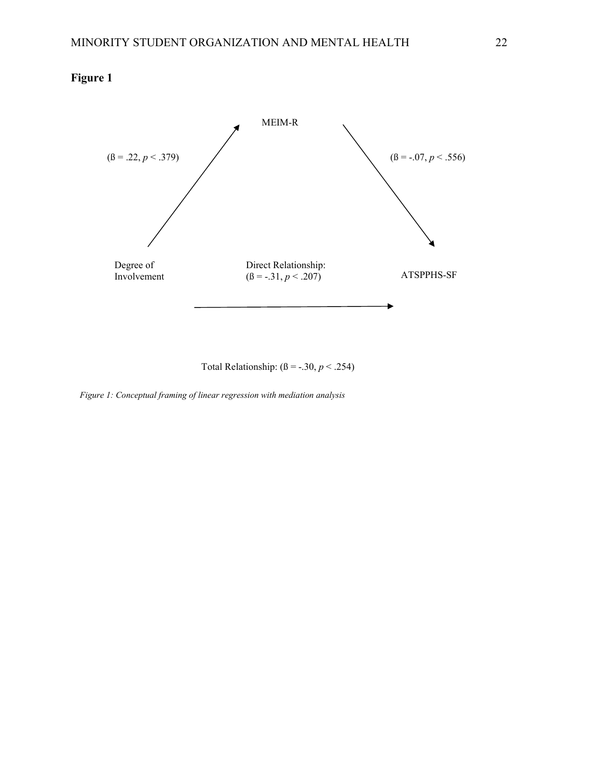## **Figure 1**



Total Relationship:  $( \beta = -.30, p < .254)$ 

*Figure 1: Conceptual framing of linear regression with mediation analysis*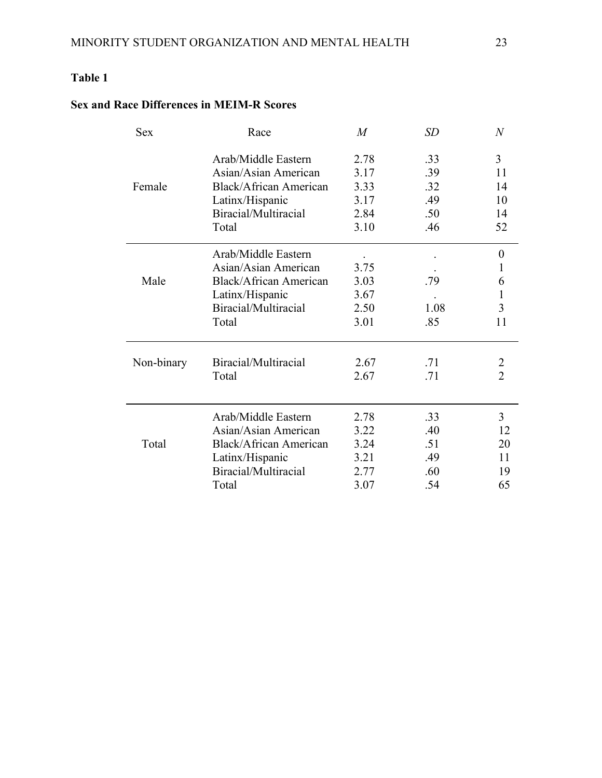# **Table 1**

# **Sex and Race Differences in MEIM-R Scores**

| <b>Sex</b> | Race                          | $\overline{M}$ | <i>SD</i> | $\boldsymbol{N}$ |
|------------|-------------------------------|----------------|-----------|------------------|
|            | Arab/Middle Eastern           | 2.78           | .33       | $\overline{3}$   |
|            | Asian/Asian American          | 3.17           | .39       | 11               |
| Female     | <b>Black/African American</b> | 3.33           | .32       | 14               |
|            | Latinx/Hispanic               | 3.17           | .49       | 10               |
|            | Biracial/Multiracial          | 2.84           | .50       | 14               |
|            | Total                         | 3.10           | .46       | 52               |
|            | Arab/Middle Eastern           |                |           | $\boldsymbol{0}$ |
|            | Asian/Asian American          | 3.75           |           | 1                |
| Male       | <b>Black/African American</b> | 3.03           | .79       | 6                |
|            | Latinx/Hispanic               | 3.67           |           | 1                |
|            | Biracial/Multiracial          | 2.50           | 1.08      | 3                |
|            | Total                         | 3.01           | .85       | 11               |
| Non-binary | Biracial/Multiracial          | 2.67           | .71       | $\overline{2}$   |
|            | Total                         | 2.67           | .71       | $\overline{2}$   |
|            | Arab/Middle Eastern           | 2.78           | .33       | $\overline{3}$   |
|            | Asian/Asian American          | 3.22           | .40       | 12               |
| Total      | <b>Black/African American</b> | 3.24           | .51       | 20               |
|            | Latinx/Hispanic               | 3.21           | .49       | 11               |
|            | Biracial/Multiracial          | 2.77           | .60       | 19               |
|            | Total                         | 3.07           | .54       | 65               |
|            |                               |                |           |                  |